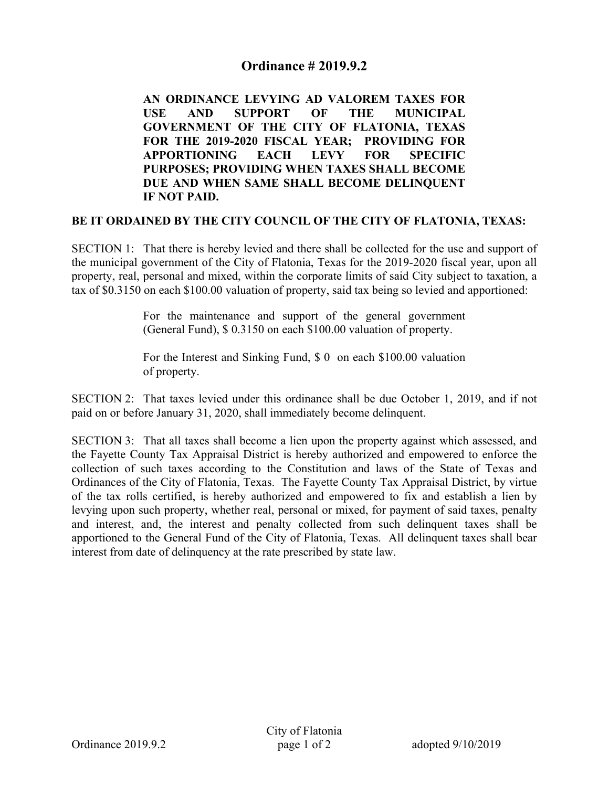## **Ordinance # 2019.9.2**

 **AN ORDINANCE LEVYING AD VALOREM TAXES FOR USE AND SUPPORT OF THE MUNICIPAL GOVERNMENT OF THE CITY OF FLATONIA, TEXAS FOR THE 2019-2020 FISCAL YEAR; PROVIDING FOR APPORTIONING EACH LEVY FOR SPECIFIC PURPOSES; PROVIDING WHEN TAXES SHALL BECOME DUE AND WHEN SAME SHALL BECOME DELINQUENT IF NOT PAID.** 

## **BE IT ORDAINED BY THE CITY COUNCIL OF THE CITY OF FLATONIA, TEXAS:**

SECTION 1: That there is hereby levied and there shall be collected for the use and support of the municipal government of the City of Flatonia, Texas for the 2019-2020 fiscal year, upon all property, real, personal and mixed, within the corporate limits of said City subject to taxation, a tax of \$0.3150 on each \$100.00 valuation of property, said tax being so levied and apportioned:

> For the maintenance and support of the general government (General Fund), \$ 0.3150 on each \$100.00 valuation of property.

> For the Interest and Sinking Fund, \$ 0 on each \$100.00 valuation of property.

SECTION 2: That taxes levied under this ordinance shall be due October 1, 2019, and if not paid on or before January 31, 2020, shall immediately become delinquent.

SECTION 3: That all taxes shall become a lien upon the property against which assessed, and the Fayette County Tax Appraisal District is hereby authorized and empowered to enforce the collection of such taxes according to the Constitution and laws of the State of Texas and Ordinances of the City of Flatonia, Texas. The Fayette County Tax Appraisal District, by virtue of the tax rolls certified, is hereby authorized and empowered to fix and establish a lien by levying upon such property, whether real, personal or mixed, for payment of said taxes, penalty and interest, and, the interest and penalty collected from such delinquent taxes shall be apportioned to the General Fund of the City of Flatonia, Texas. All delinquent taxes shall bear interest from date of delinquency at the rate prescribed by state law.